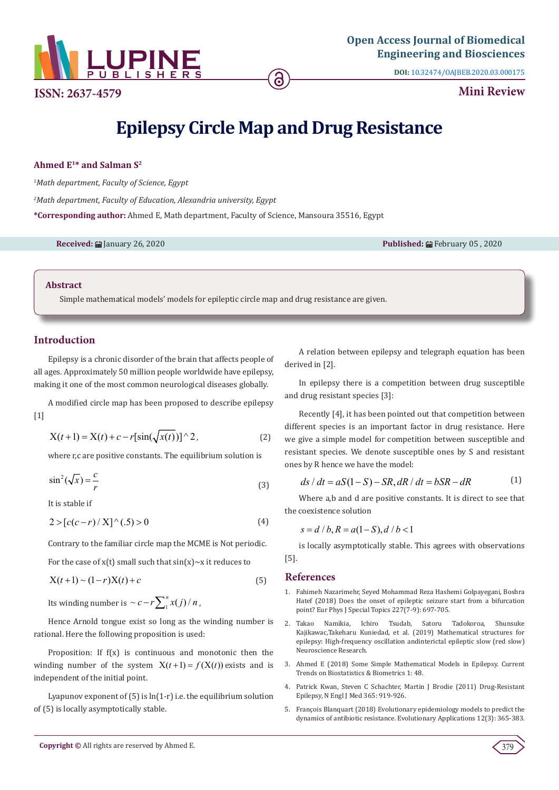

**ISSN: 2637-4579 Mini Review** 

**DOI:** [10.32474/OAJBEB.2020.03.000175](http://dx.doi.org/10.32474/OAJBEB.2020.03.000175)

# **Epilepsy Circle Map and Drug Resistance**

#### **Ahmed E1\* and Salman S2**

*1 Math department, Faculty of Science, Egypt*

*2 Math department, Faculty of Education, Alexandria university, Egypt*

**\*Corresponding author:** Ahmed E, Math department, Faculty of Science, Mansoura 35516, Egypt

**Received:** January 26, 2020 **Published:** February 05 , 2020

#### **Abstract**

Simple mathematical models' models for epileptic circle map and drug resistance are given.

### **Introduction**

Epilepsy is a chronic disorder of the brain that affects people of all ages. Approximately 50 million people worldwide have epilepsy, making it one of the most common neurological diseases globally.

A modified circle map has been proposed to describe epilepsy [1]

$$
X(t+1) = X(t) + c - r[\sin(\sqrt{x(t)})] \,^2 \tag{2}
$$

where r,c are positive constants. The equilibrium solution is

$$
\sin^2(\sqrt{x}) = \frac{c}{r}
$$
 (3)

It is stable if

$$
2 > [c(c-r)/X]^{(5)} > 0
$$
 (4)

Contrary to the familiar circle map the MCME is Not periodic.

For the case of  $x(t)$  small such that  $sin(x) \sim x$  it reduces to

$$
X(t+1) \sim (1-r)X(t) + c
$$
 (5)

Its winding number is  $\sim c - r \sum_{1}^{n} x(j) / n$  ,

Hence Arnold tongue exist so long as the winding number is rational. Here the following proposition is used:

Proposition: If  $f(x)$  is continuous and monotonic then the winding number of the system  $X(t+1) = f(X(t))$  exists and is independent of the initial point.

Lyapunov exponent of  $(5)$  is  $ln(1-r)$  i.e. the equilibrium solution of (5) is locally asymptotically stable.

A relation between epilepsy and telegraph equation has been derived in [2].

In epilepsy there is a competition between drug susceptible and drug resistant species [3]:

Recently [4], it has been pointed out that competition between different species is an important factor in drug resistance. Here we give a simple model for competition between susceptible and resistant species. We denote susceptible ones by S and resistant ones by R hence we have the model:

$$
ds/dt = aS(1-S) - SR, dR/dt = bSR - dR
$$
 (1)

Where a,b and d are positive constants. It is direct to see that the coexistence solution

 $s = d/b$ ,  $R = a(1-S)$ ,  $d/b < 1$ 

is locally asymptotically stable. This agrees with observations [5].

#### **References**

- 1. [Fahimeh Nazarimehr, Seyed Mohammad Reza Hashemi Golpayegani, Boshra](https://link.springer.com/article/10.1140/epjst/e2018-800013-1) [Hatef \(2018\) Does the onset of epileptic seizure start from a bifurcation](https://link.springer.com/article/10.1140/epjst/e2018-800013-1) [point? Eur Phys J Special Topics 227\(7-9\): 697-705.](https://link.springer.com/article/10.1140/epjst/e2018-800013-1)
- 2. [Takao Namikia, Ichiro Tsudab, Satoru Tadokoroa, Shunsuke](https://www.researchgate.net/publication/337409857_Mathematical_Structures_for_Epilepsy_High-Frequency_Oscillation_and_Interictal_Epileptic_Slow_Red_Slow) [Kajikawac,Takeharu Kuniedad, et al. \(2019\) Mathematical structures for](https://www.researchgate.net/publication/337409857_Mathematical_Structures_for_Epilepsy_High-Frequency_Oscillation_and_Interictal_Epileptic_Slow_Red_Slow) [epilepsy: High-frequency oscillation andinterictal epileptic slow \(red slow\)](https://www.researchgate.net/publication/337409857_Mathematical_Structures_for_Epilepsy_High-Frequency_Oscillation_and_Interictal_Epileptic_Slow_Red_Slow) [Neuroscience Research.](https://www.researchgate.net/publication/337409857_Mathematical_Structures_for_Epilepsy_High-Frequency_Oscillation_and_Interictal_Epileptic_Slow_Red_Slow)
- 3. [Ahmed E \(2018\) Some Simple Mathematical Models in Epilepsy. Current](https://lupinepublishers.com/biostatistics-biometrics-journal/fulltext/some-simple-mathematical-models-in-epilepsy.ID.000109.php) [Trends on Biostatistics & Biometrics 1: 48.](https://lupinepublishers.com/biostatistics-biometrics-journal/fulltext/some-simple-mathematical-models-in-epilepsy.ID.000109.php)
- 4. [Patrick Kwan, Steven C Schachter, Martin J Brodie \(2011\) Drug-Resistant](https://www.nejm.org/doi/full/10.1056/NEJMra1004418) [Epilepsy, N Engl J Med 365: 919-926.](https://www.nejm.org/doi/full/10.1056/NEJMra1004418)
- 5. [François Blanquart \(2018\) Evolutionary epidemiology models to predict the](https://www.ncbi.nlm.nih.gov/pmc/articles/PMC6383707/) [dynamics of antibiotic resistance. Evolutionary Applications 12\(3\): 365-383.](https://www.ncbi.nlm.nih.gov/pmc/articles/PMC6383707/)